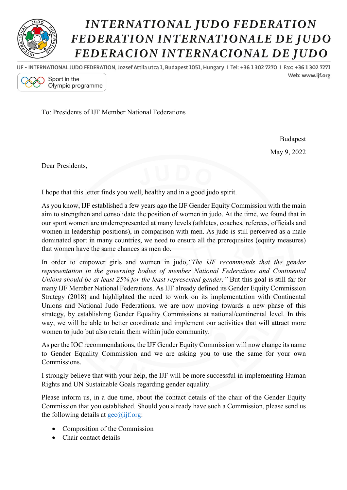

## **INTERNATIONAL JUDO FEDERATION** FEDERATION INTERNATIONALE DE JUDO FEDERACION INTERNACIONAL DE JUDO

IJF - INTERNATIONAL JUDO FEDERATION, Jozsef Attila utca 1, Budapest 1051, Hungary 1 Tel: +36 1 302 7270 1 Fax: +36 1 302 7271 Web: www.iif.org



To: Presidents of IJF Member National Federations

Budapest May 9, 2022

Dear Presidents,

I hope that this letter finds you well, healthy and in a good judo spirit.

As you know, IJF established a few years ago the IJF Gender Equity Commission with the main aim to strengthen and consolidate the position of women in judo. At the time, we found that in our sport women are underrepresented at many levels (athletes, coaches, referees, officials and women in leadership positions), in comparison with men. As judo is still perceived as a male dominated sport in many countries, we need to ensure all the prerequisites (equity measures) that women have the same chances as men do.

In order to empower girls and women in judo,*"The IJF recommends that the gender representation in the governing bodies of member National Federations and Continental Unions should be at least 25% for the least represented gender."* But this goal is still far for many IJF Member National Federations. As IJF already defined its Gender Equity Commission Strategy (2018) and highlighted the need to work on its implementation with Continental Unions and National Judo Federations, we are now moving towards a new phase of this strategy, by establishing Gender Equality Commissions at national/continental level. In this way, we will be able to better coordinate and implement our activities that will attract more women to judo but also retain them within judo community.

As per the IOC recommendations, the IJF Gender Equity Commission will now change its name to Gender Equality Commission and we are asking you to use the same for your own Commissions.

I strongly believe that with your help, the IJF will be more successful in implementing Human Rights and UN Sustainable Goals regarding gender equality.

Please inform us, in a due time, about the contact details of the chair of the Gender Equity Commission that you established. Should you already have such a Commission, please send us the following details at  $\text{geo}(a)$ ijf.org:

- Composition of the Commission
- Chair contact details